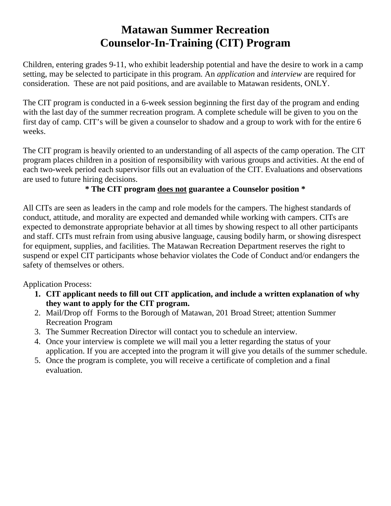## **Matawan Summer Recreation Counselor-In-Training (CIT) Program**

Children, entering grades 9-11, who exhibit leadership potential and have the desire to work in a camp setting, may be selected to participate in this program. An *application* and *interview* are required for consideration. These are not paid positions, and are available to Matawan residents, ONLY.

The CIT program is conducted in a 6-week session beginning the first day of the program and ending with the last day of the summer recreation program. A complete schedule will be given to you on the first day of camp. CIT's will be given a counselor to shadow and a group to work with for the entire 6 weeks.

The CIT program is heavily oriented to an understanding of all aspects of the camp operation. The CIT program places children in a position of responsibility with various groups and activities. At the end of each two-week period each supervisor fills out an evaluation of the CIT. Evaluations and observations are used to future hiring decisions.

## **\* The CIT program does not guarantee a Counselor position \***

All CITs are seen as leaders in the camp and role models for the campers. The highest standards of conduct, attitude, and morality are expected and demanded while working with campers. CITs are expected to demonstrate appropriate behavior at all times by showing respect to all other participants and staff. CITs must refrain from using abusive language, causing bodily harm, or showing disrespect for equipment, supplies, and facilities. The Matawan Recreation Department reserves the right to suspend or expel CIT participants whose behavior violates the Code of Conduct and/or endangers the safety of themselves or others.

Application Process:

- **1. CIT applicant needs to fill out CIT application, and include a written explanation of why they want to apply for the CIT program.**
- 2. Mail/Drop off Forms to the Borough of Matawan, 201 Broad Street; attention Summer Recreation Program
- 3. The Summer Recreation Director will contact you to schedule an interview.
- 4. Once your interview is complete we will mail you a letter regarding the status of your application. If you are accepted into the program it will give you details of the summer schedule.
- 5. Once the program is complete, you will receive a certificate of completion and a final evaluation.